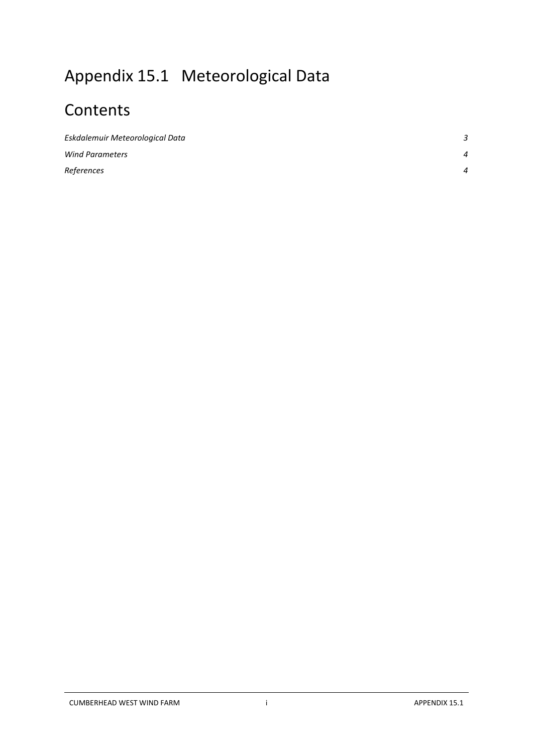# Appendix 15.1 Meteorological Data

## **Contents**

| Eskdalemuir Meteorological Data | 3 |
|---------------------------------|---|
| <b>Wind Parameters</b>          | Δ |
| References                      | 4 |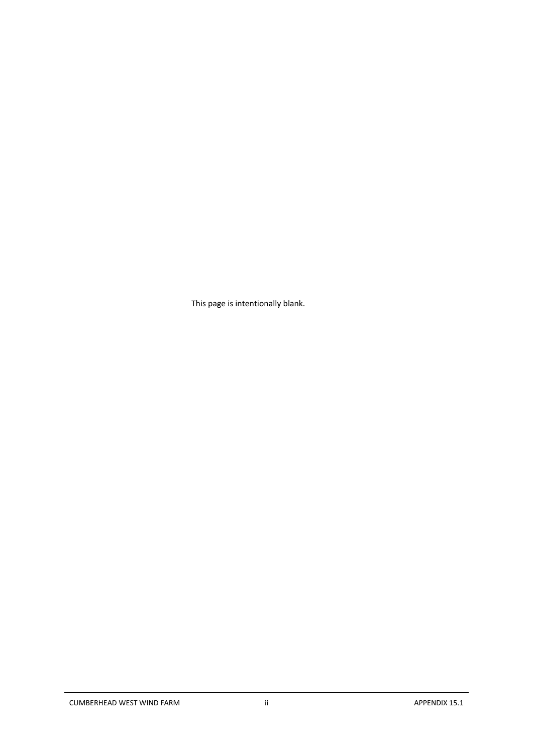This page is intentionally blank.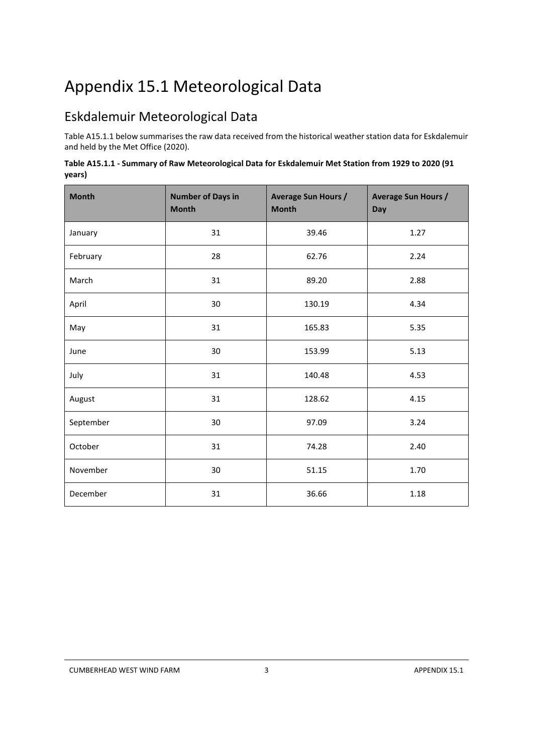# Appendix 15.1 Meteorological Data

### <span id="page-2-0"></span>Eskdalemuir Meteorological Data

Table A15.1.1 below summarises the raw data received from the historical weather station data for Eskdalemuir and held by the Met Office (2020).

| Table A15.1.1 - Summary of Raw Meteorological Data for Eskdalemuir Met Station from 1929 to 2020 (91 |  |
|------------------------------------------------------------------------------------------------------|--|
| years)                                                                                               |  |

| <b>Month</b> | <b>Number of Days in</b><br><b>Month</b> | <b>Average Sun Hours /</b><br><b>Month</b> | <b>Average Sun Hours /</b><br>Day |
|--------------|------------------------------------------|--------------------------------------------|-----------------------------------|
| January      | 31                                       | 39.46                                      | 1.27                              |
| February     | 28                                       | 62.76                                      | 2.24                              |
| March        | 31                                       | 89.20                                      | 2.88                              |
| April        | 30                                       | 130.19                                     | 4.34                              |
| May          | 31                                       | 165.83                                     | 5.35                              |
| June         | 30                                       | 153.99                                     | 5.13                              |
| July         | 31                                       | 140.48                                     | 4.53                              |
| August       | 31                                       | 128.62                                     | 4.15                              |
| September    | 30                                       | 97.09                                      | 3.24                              |
| October      | 31                                       | 74.28                                      | 2.40                              |
| November     | 30                                       | 51.15                                      | 1.70                              |
| December     | 31                                       | 36.66                                      | 1.18                              |